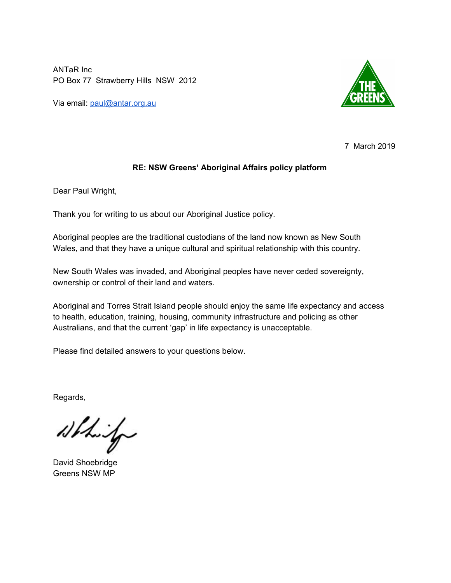ANTaR Inc PO Box 77 Strawberry Hills NSW 2012

Via email: [paul@antar.org.au](mailto:paul@antar.org.au)



7 March 2019

# **RE: NSW Greens' Aboriginal Affairs policy platform**

Dear Paul Wright,

Thank you for writing to us about our Aboriginal Justice policy.

Aboriginal peoples are the traditional custodians of the land now known as New South Wales, and that they have a unique cultural and spiritual relationship with this country.

New South Wales was invaded, and Aboriginal peoples have never ceded sovereignty, ownership or control of their land and waters.

Aboriginal and Torres Strait Island people should enjoy the same life expectancy and access to health, education, training, housing, community infrastructure and policing as other Australians, and that the current 'gap' in life expectancy is unacceptable.

Please find detailed answers to your questions below.

Regards,

White

David Shoebridge Greens NSW MP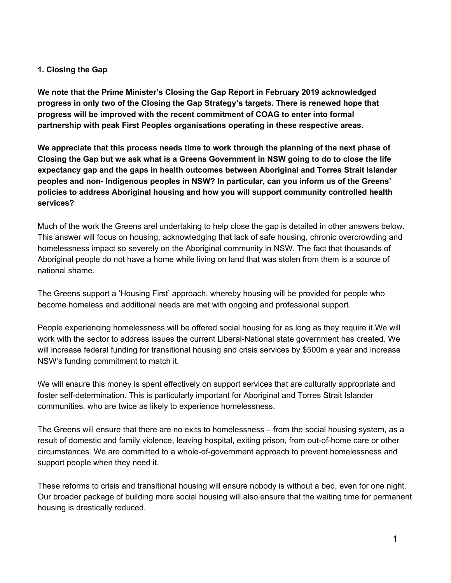#### **1. Closing the Gap**

**We note that the Prime Minister's Closing the Gap Report in February 2019 acknowledged progress in only two of the Closing the Gap Strategy's targets. There is renewed hope that progress will be improved with the recent commitment of COAG to enter into formal partnership with peak First Peoples organisations operating in these respective areas.**

**We appreciate that this process needs time to work through the planning of the next phase of** Closing the Gap but we ask what is a Greens Government in NSW going to do to close the life **expectancy gap and the gaps in health outcomes between Aboriginal and Torres Strait Islander peoples and non- Indigenous peoples in NSW? In particular, can you inform us of the Greens' policies to address Aboriginal housing and how you will support community controlled health services?**

Much of the work the Greens arel undertaking to help close the gap is detailed in other answers below. This answer will focus on housing, acknowledging that lack of safe housing, chronic overcrowding and homelessness impact so severely on the Aboriginal community in NSW. The fact that thousands of Aboriginal people do not have a home while living on land that was stolen from them is a source of national shame.

The Greens support a 'Housing First' approach, whereby housing will be provided for people who become homeless and additional needs are met with ongoing and professional support.

People experiencing homelessness will be offered social housing for as long as they require it.We will work with the sector to address issues the current Liberal-National state government has created. We will increase federal funding for transitional housing and crisis services by \$500m a year and increase NSW's funding commitment to match it.

We will ensure this money is spent effectively on support services that are culturally appropriate and foster self-determination. This is particularly important for Aboriginal and Torres Strait Islander communities, who are twice as likely to experience homelessness.

The Greens will ensure that there are no exits to homelessness – from the social housing system, as a result of domestic and family violence, leaving hospital, exiting prison, from out-of-home care or other circumstances. We are committed to a whole-of-government approach to prevent homelessness and support people when they need it.

These reforms to crisis and transitional housing will ensure nobody is without a bed, even for one night. Our broader package of building more social housing will also ensure that the waiting time for permanent housing is drastically reduced.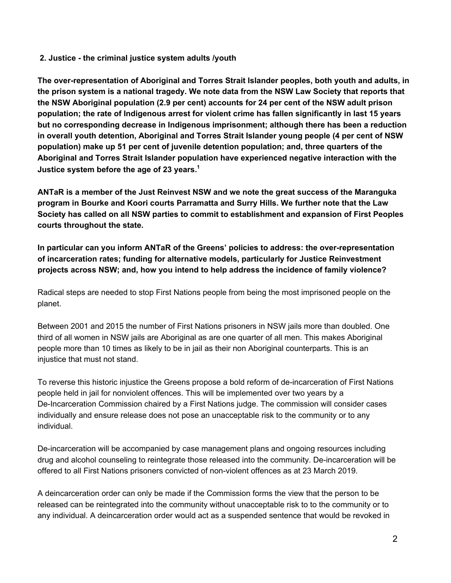#### **2. Justice - the criminal justice system adults /youth**

**The over-representation of Aboriginal and Torres Strait Islander peoples, both youth and adults, in the prison system is a national tragedy. We note data from the NSW Law Society that reports that the NSW Aboriginal population (2.9 per cent) accounts for 24 per cent of the NSW adult prison population; the rate of Indigenous arrest for violent crime has fallen significantly in last 15 years but no corresponding decrease in Indigenous imprisonment; although there has been a reduction in overall youth detention, Aboriginal and Torres Strait Islander young people (4 per cent of NSW population) make up 51 per cent of juvenile detention population; and, three quarters of the Aboriginal and Torres Strait Islander population have experienced negative interaction with the Justice system before the age of 23 years. 1**

**ANTaR is a member of the Just Reinvest NSW and we note the great success of the Maranguka program in Bourke and Koori courts Parramatta and Surry Hills. We further note that the Law Society has called on all NSW parties to commit to establishment and expansion of First Peoples courts throughout the state.**

**In particular can you inform ANTaR of the Greens' policies to address: the over-representation of incarceration rates; funding for alternative models, particularly for Justice Reinvestment projects across NSW; and, how you intend to help address the incidence of family violence?**

Radical steps are needed to stop First Nations people from being the most imprisoned people on the planet.

Between 2001 and 2015 the number of First Nations prisoners in NSW jails more than doubled. One third of all women in NSW jails are Aboriginal as are one quarter of all men. This makes Aboriginal people more than 10 times as likely to be in jail as their non Aboriginal counterparts. This is an injustice that must not stand.

To reverse this historic injustice the Greens propose a bold reform of de-incarceration of First Nations people held in jail for nonviolent offences. This will be implemented over two years by a De-Incarceration Commission chaired by a First Nations judge. The commission will consider cases individually and ensure release does not pose an unacceptable risk to the community or to any individual.

De-incarceration will be accompanied by case management plans and ongoing resources including drug and alcohol counseling to reintegrate those released into the community. De-incarceration will be offered to all First Nations prisoners convicted of non-violent offences as at 23 March 2019.

A deincarceration order can only be made if the Commission forms the view that the person to be released can be reintegrated into the community without unacceptable risk to to the community or to any individual. A deincarceration order would act as a suspended sentence that would be revoked in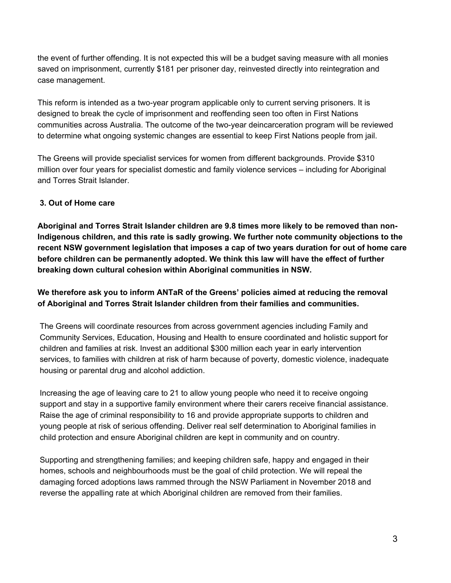the event of further offending. It is not expected this will be a budget saving measure with all monies saved on imprisonment, currently \$181 per prisoner day, reinvested directly into reintegration and case management.

This reform is intended as a two-year program applicable only to current serving prisoners. It is designed to break the cycle of imprisonment and reoffending seen too often in First Nations communities across Australia. The outcome of the two-year deincarceration program will be reviewed to determine what ongoing systemic changes are essential to keep First Nations people from jail.

The Greens will provide specialist services for women from different backgrounds. Provide \$310 million over four years for specialist domestic and family violence services – including for Aboriginal and Torres Strait Islander.

# **3. Out of Home care**

**Aboriginal and Torres Strait Islander children are 9.8 times more likely to be removed than non-Indigenous children, and this rate is sadly growing. We further note community objections to the recent NSW government legislation that imposes a cap of two years duration for out of home care before children can be permanently adopted. We think this law will have the effect of further breaking down cultural cohesion within Aboriginal communities in NSW.**

# **We therefore ask you to inform ANTaR of the Greens' policies aimed at reducing the removal of Aboriginal and Torres Strait Islander children from their families and communities.**

The Greens will coordinate resources from across government agencies including Family and Community Services, Education, Housing and Health to ensure coordinated and holistic support for children and families at risk. Invest an additional \$300 million each year in early intervention services, to families with children at risk of harm because of poverty, domestic violence, inadequate housing or parental drug and alcohol addiction.

Increasing the age of leaving care to 21 to allow young people who need it to receive ongoing support and stay in a supportive family environment where their carers receive financial assistance. Raise the age of criminal responsibility to 16 and provide appropriate supports to children and young people at risk of serious offending. Deliver real self determination to Aboriginal families in child protection and ensure Aboriginal children are kept in community and on country.

Supporting and strengthening families; and keeping children safe, happy and engaged in their homes, schools and neighbourhoods must be the goal of child protection. We will repeal the damaging forced adoptions laws rammed through the NSW Parliament in November 2018 and reverse the appalling rate at which Aboriginal children are removed from their families.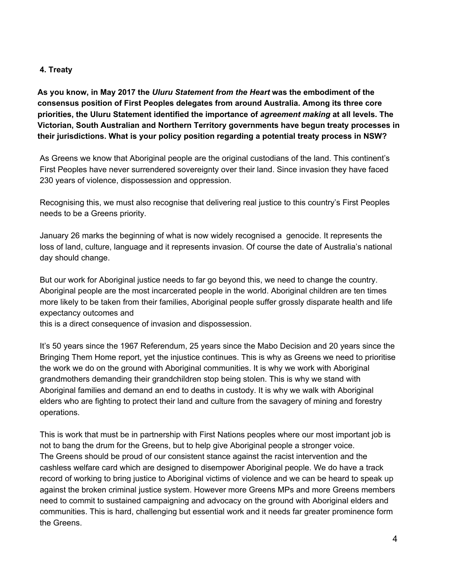#### **4. Treaty**

**As you know, in May 2017 the** *Uluru Statement from the Heart* **was the embodiment of the consensus position of First Peoples delegates from around Australia. Among its three core priorities, the Uluru Statement identified the importance of** *agreement making* **at all levels. The Victorian, South Australian and Northern Territory governments have begun treaty processes in their jurisdictions. What is your policy position regarding a potential treaty process in NSW?**

As Greens we know that Aboriginal people are the original custodians of the land. This continent's First Peoples have never surrendered sovereignty over their land. Since invasion they have faced 230 years of violence, dispossession and oppression.

Recognising this, we must also recognise that delivering real justice to this country's First Peoples needs to be a Greens priority.

January 26 marks the beginning of what is now widely recognised a genocide. It represents the loss of land, culture, language and it represents invasion. Of course the date of Australia's national day should change.

But our work for Aboriginal justice needs to far go beyond this, we need to change the country. Aboriginal people are the most incarcerated people in the world. Aboriginal children are ten times more likely to be taken from their families, Aboriginal people suffer grossly disparate health and life expectancy outcomes and

this is a direct consequence of invasion and dispossession.

It's 50 years since the 1967 Referendum, 25 years since the Mabo Decision and 20 years since the Bringing Them Home report, yet the injustice continues. This is why as Greens we need to prioritise the work we do on the ground with Aboriginal communities. It is why we work with Aboriginal grandmothers demanding their grandchildren stop being stolen. This is why we stand with Aboriginal families and demand an end to deaths in custody. It is why we walk with Aboriginal elders who are fighting to protect their land and culture from the savagery of mining and forestry operations.

This is work that must be in partnership with First Nations peoples where our most important job is not to bang the drum for the Greens, but to help give Aboriginal people a stronger voice. The Greens should be proud of our consistent stance against the racist intervention and the cashless welfare card which are designed to disempower Aboriginal people. We do have a track record of working to bring justice to Aboriginal victims of violence and we can be heard to speak up against the broken criminal justice system. However more Greens MPs and more Greens members need to commit to sustained campaigning and advocacy on the ground with Aboriginal elders and communities. This is hard, challenging but essential work and it needs far greater prominence form the Greens.